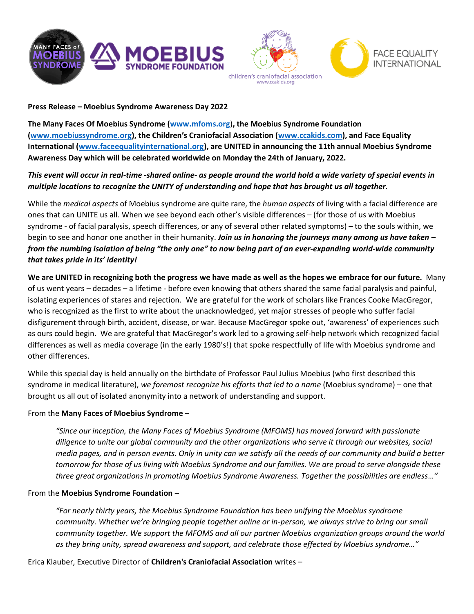





### **Press Release – Moebius Syndrome Awareness Day 2022**

**The Many Faces Of Moebius Syndrome [\(www.mfoms.org](http://www.mfoms.org/)**)**, the Moebius Syndrome Foundation [\(www.moebiussyndrome.org\)](http://www.moebiussyndrome.org/), the Children's Craniofacial Association ([www.ccakids.com\)](http://www.ccakids.com/), and Face Equality International [\(www.faceequalityinternational.org\)](http://www.faceequalityinternational.org/), are UNITED in announcing the 11th annual Moebius Syndrome Awareness Day which will be celebrated worldwide on Monday the 24th of January, 2022.**

# *This event will occur in real-time -shared online- as people around the world hold a wide variety of special events in multiple locations to recognize the UNITY of understanding and hope that has brought us all together.*

While the *medical aspects* of Moebius syndrome are quite rare, the *human aspects* of living with a facial difference are ones that can UNITE us all. When we see beyond each other's visible differences – (for those of us with Moebius syndrome - of facial paralysis, speech differences, or any of several other related symptoms) – to the souls within, we begin to see and honor one another in their humanity. *Join us in honoring the journeys many among us have taken – from the numbing isolation of being "the only one" to now being part of an ever-expanding world-wide community that takes pride in its' identity!*

**We are UNITED in recognizing both the progress we have made as well as the hopes we embrace for our future.** Many of us went years – decades – a lifetime - before even knowing that others shared the same facial paralysis and painful, isolating experiences of stares and rejection. We are grateful for the work of scholars like Frances Cooke MacGregor, who is recognized as the first to write about the unacknowledged, yet major stresses of people who suffer facial disfigurement through birth, accident, disease, or war. Because MacGregor spoke out, 'awareness' of experiences such as ours could begin. We are grateful that MacGregor's work led to a growing self-help network which recognized facial differences as well as media coverage (in the early 1980's!) that spoke respectfully of life with Moebius syndrome and other differences.

While this special day is held annually on the birthdate of Professor Paul Julius Moebius (who first described this syndrome in medical literature), *we foremost recognize his efforts that led to a name* (Moebius syndrome) – one that brought us all out of isolated anonymity into a network of understanding and support.

## From the **Many Faces of Moebius Syndrome** –

*"Since our inception, the Many Faces of Moebius Syndrome (MFOMS) has moved forward with passionate diligence to unite our global community and the other organizations who serve it through our websites, social media pages, and in person events. Only in unity can we satisfy all the needs of our community and build a better tomorrow for those of us living with Moebius Syndrome and our families. We are proud to serve alongside these three great organizations in promoting Moebius Syndrome Awareness. Together the possibilities are endless…"*

### From the **Moebius Syndrome Foundation** –

*"For nearly thirty years, the Moebius Syndrome Foundation has been unifying the Moebius syndrome community. Whether we're bringing people together online or in-person, we always strive to bring our small community together. We support the MFOMS and all our partner Moebius organization groups around the world as they bring unity, spread awareness and support, and celebrate those effected by Moebius syndrome…"*

Erica Klauber, Executive Director of **Children's Craniofacial Association** writes –